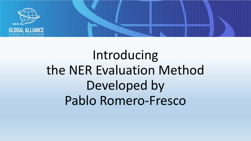

# Introducing the NER Evaluation Method Developed by Pablo Romero-Fresco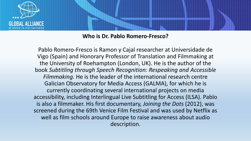

#### **Who is Dr. Pablo Romero-Fresco?**

Pablo Romero-Fresco is Ramon y Cajal researcher at Universidade de Vigo (Spain) and Honorary Professor of Translation and Filmmaking at the University of Roehampton (London, UK). He is the author of the book *Subtitling through Speech Recognition: Respeaking and Accessible Filmmaking.* He is the leader of the international research centre Galician Observatory for Media Access (GALMA), for which he is currently coordinating several international projects on media accessibility, including Interlingual Live Subtitling for Access (ILSA). Pablo is also a filmmaker. His first documentary, *Joining the Dots* (2012), was screened during the 69th Venice Film Festival and was used by Netflix as well as film schools around Europe to raise awareness about audio description.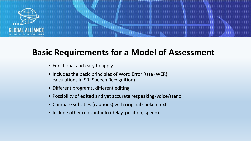

### **Basic Requirements for a Model of Assessment**

- Functional and easy to apply
- Includes the basic principles of Word Error Rate (WER) calculations in SR (Speech Recognition)
- Different programs, different editing
- Possibility of edited and yet accurate respeaking/voice/steno
- Compare subtitles (captions) with original spoken text
- Include other relevant info (delay, position, speed)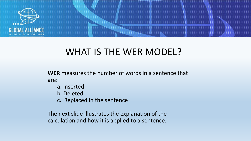

### WHAT IS THE WER MODEL?

**WER** measures the number of words in a sentence that are:

- a. Inserted
- b. Deleted
- c. Replaced in the sentence

The next slide illustrates the explanation of the calculation and how it is applied to a sentence.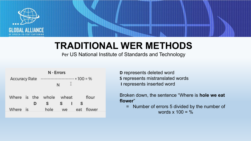

## **TRADITIONAL WER METHODS**

Per US National Institute of Standards and Technology

| N - Errors           |           |   |                    |       |   |     |        |
|----------------------|-----------|---|--------------------|-------|---|-----|--------|
| <b>Accuracy Rate</b> |           |   | $\cdots$ 100 = %   |       |   |     |        |
|                      |           |   |                    | N     |   |     |        |
|                      |           |   |                    |       |   |     |        |
|                      |           |   | Where is the whole | wheat |   |     | flour  |
|                      |           | D |                    |       | ı | S   |        |
| Where                | <b>is</b> |   | hole               | we    |   | eat | flower |

**D** represents deleted word **S** represents mistranslated words **I** represents inserted word

Broken down, the sentence "Where is **hole we eat flower**"

= Number of errors 5 divided by the number of words  $x$  100 =  $\%$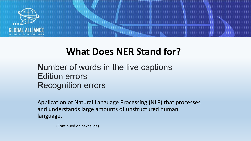

### **What Does NER Stand for?**

**N**umber of words in the live captions **E**dition errors **R**ecognition errors

Application of Natural Language Processing (NLP) that processes and understands large amounts of unstructured human language.

(Continued on next slide)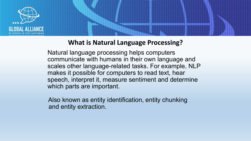

#### **What is Natural Language Processing?**

Natural language processing helps computers communicate with humans in their own language and scales other language-related tasks. For example, NLP makes it possible for computers to read text, hear speech, interpret it, measure sentiment and determine which parts are important.

 Also known as entity identification, entity chunking and entity extraction.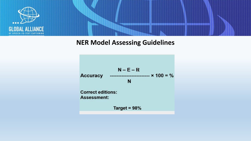

#### **NER Model Assessing Guidelines**

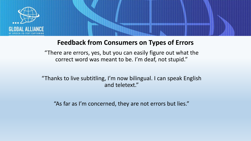

#### **Feedback from Consumers on Types of Errors**

"There are errors, yes, but you can easily figure out what the correct word was meant to be. I'm deaf, not stupid."

"Thanks to live subtitling, I'm now bilingual. I can speak English and teletext."

"As far as I'm concerned, they are not errors but lies."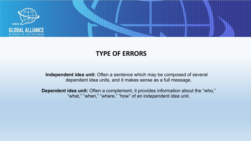

#### **TYPE OF ERRORS**

**Independent idea unit:** Often a sentence which may be composed of several dependent idea units, and it makes sense as a full message.

**Dependent idea unit:** Often a complement, it provides information about the "who," "what," "when," "where," "how" of an independent idea unit.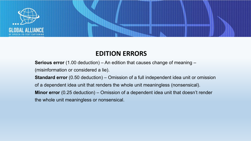

#### **EDITION ERRORS**

**Serious error** (1.00 deduction) – An edition that causes change of meaning –

(misinformation or considered a lie).

**Standard error** (0.50 deduction) – Omission of a full independent idea unit or omission

of a dependent idea unit that renders the whole unit meaningless (nonsensical).

**Minor error** (0.25 deduction) – Omission of a dependent idea unit that doesn't render

the whole unit meaningless or nonsensical.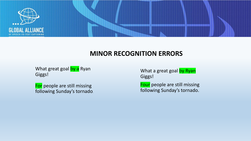

#### **MINOR RECOGNITION ERRORS**

What great goal by a Ryan Giggs!

For people are still missing following Sunday's tornado. What a great goal by Ryan Giggs!

Four people are still missing following Sunday's tornado.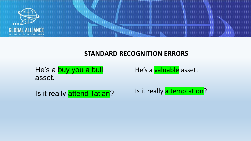

#### **STANDARD RECOGNITION ERRORS**

He's a buy you a bull asset.

He's a valuable asset.

Is it really attend Tatian?

Is it really a temptation?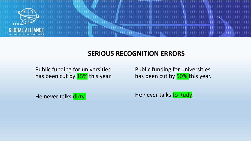

#### **SERIOUS RECOGNITION ERRORS**

Public funding for universities has been cut by 15% this year. Public funding for universities has been cut by 50% this year.

He never talks dirty.

He never talks to Rudy.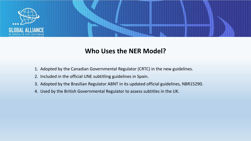

#### **Who Uses the NER Model?**

- 1. Adopted by the Canadian Governmental Regulator (CRTC) in the new guidelines.
- 2. Included in the official UNE subtitling guidelines in Spain.
- 3. Adopted by the Brasilian Regulator ABNT in its updated official guidelines, NBR15290.
- 4. Used by the British Governmental Regulator to assess subtitles in the UK.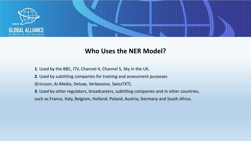

#### **Who Uses the NER Model?**

- **1**. Used by the BBC, ITV, Channel 4, Channel 5, Sky in the UK.
- **2**. Used by subtitling companies for training and assessment purposes
- (Ericsson, Ai-Media, Deluxe, Verbavoice, SwissTXT).
- **3**. Used by other regulators, broadcasters, subtitling companies and in other countries,
- such as France, Italy, Belgium, Holland, Poland, Austria, Germany and South Africa.